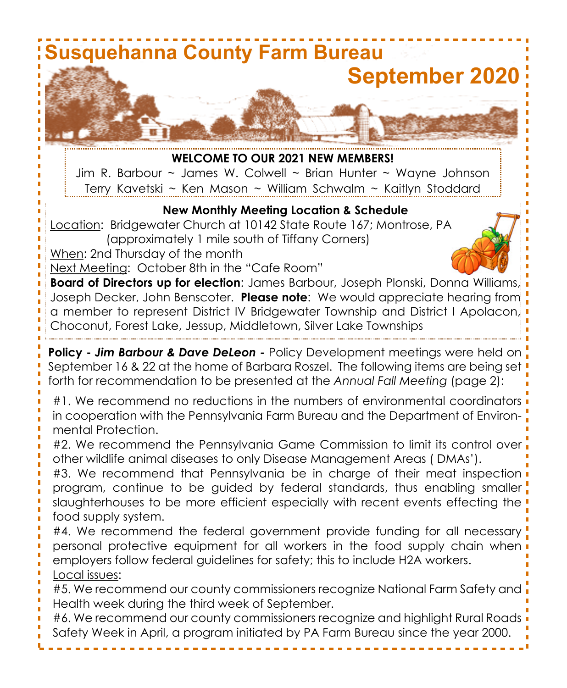

#5. We recommend our county commissioners recognize National Farm Safety and Health week during the third week of September.

#6. We recommend our county commissioners recognize and highlight Rural Roads Safety Week in April, a program initiated by PA Farm Bureau since the year 2000.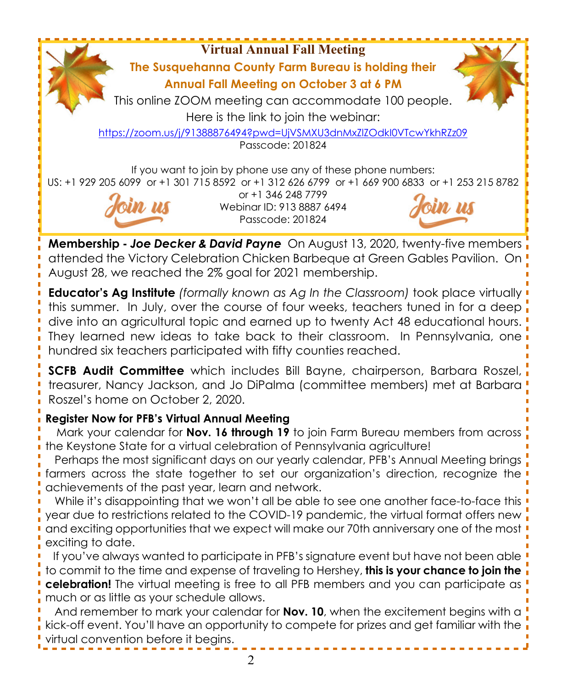**Virtual Annual Fall Meeting The Susquehanna County Farm Bureau is holding their Annual Fall Meeting on October 3 at 6 PM** This online ZOOM meeting can accommodate 100 people. Here is the link to join the webinar: https://zoom.us/j/91388876494?pwd=UjVSMXU3dnMxZlZOdkI0VTcwYkhRZz09 Passcode: 201824 If you want to join by phone use any of these phone numbers: US: +1 929 205 6099 or +1 301 715 8592 or +1 312 626 6799 or +1 669 900 6833 or +1 253 215 8782 or +1 346 248 7799 Webinar ID: 913 8887 6494

**Membership -** *Joe Decker & David Payne* On August 13, 2020, twenty-five members attended the Victory Celebration Chicken Barbeque at Green Gables Pavilion. On August 28, we reached the 2% goal for 2021 membership.

Passcode: 201824

**Educator's Ag Institute** *(formally known as Ag In the Classroom)* took place virtually this summer. In July, over the course of four weeks, teachers tuned in for a deep dive into an agricultural topic and earned up to twenty Act 48 educational hours. They learned new ideas to take back to their classroom. In Pennsylvania, one hundred six teachers participated with fifty counties reached.

**SCFB Audit Committee** which includes Bill Bayne, chairperson, Barbara Roszel, treasurer, Nancy Jackson, and Jo DiPalma (committee members) met at Barbara Roszel's home on October 2, 2020.

# **Register Now for PFB's Virtual Annual Meeting**

 Mark your calendar for **Nov. 16 through 19** to join Farm Bureau members from across the Keystone State for a virtual celebration of Pennsylvania agriculture!

 Perhaps the most significant days on our yearly calendar, PFB's Annual Meeting brings farmers across the state together to set our organization's direction, recognize the achievements of the past year, learn and network.

 While it's disappointing that we won't all be able to see one another face-to-face this year due to restrictions related to the COVID-19 pandemic, the virtual format offers new and exciting opportunities that we expect will make our 70th anniversary one of the most exciting to date.

 If you've always wanted to participate in PFB's signature event but have not been able to commit to the time and expense of traveling to Hershey, **this is your chance to join the celebration!** The virtual meeting is free to all PFB members and you can participate as much or as little as your schedule allows.

 And remember to mark your calendar for **Nov. 10**, when the excitement begins with a kick-off event. You'll have an opportunity to compete for prizes and get familiar with the virtual convention before it begins.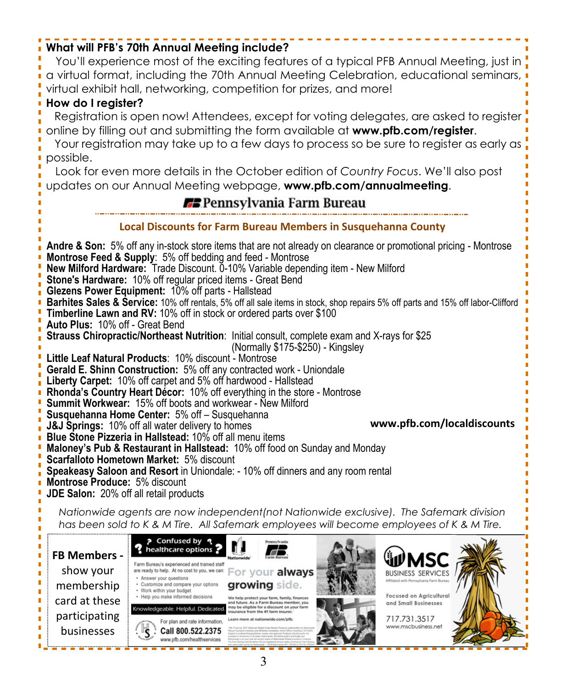# **What will PFB's 70th Annual Meeting include?**

You'll experience most of the exciting features of a typical PFB Annual Meeting, just in a virtual format, including the 70th Annual Meeting Celebration, educational seminars, virtual exhibit hall, networking, competition for prizes, and more!

# **How do I register?**

participating businesses

 Registration is open now! Attendees, except for voting delegates, are asked to register online by filling out and submitting the form available at **www.pfb.com/register**.

 Your registration may take up to a few days to process so be sure to register as early as possible.

 Look for even more details in the October edition of *Country Focus*. We'll also post updates on our Annual Meeting webpage, **www.pfb.com/annualmeeting**.

# **73** Pennsylvania Farm Bureau

### **Local Discounts for Farm Bureau Members in Susquehanna County**

**Andre & Son:** 5% off any in-stock store items that are not already on clearance or promotional pricing - Montrose **Montrose Feed & Supply**: 5% off bedding and feed - Montrose **New Milford Hardware:** Trade Discount. 0-10% Variable depending item - New Milford **Stone's Hardware:** 10% off regular priced items - Great Bend **Glezens Power Equipment:** 10% off parts - Hallstead **Barhites Sales & Service:** 10% off rentals, 5% off all sale items in stock, shop repairs 5% off parts and 15% off labor-Clifford **Timberline Lawn and RV:** 10% off in stock or ordered parts over \$100 **Auto Plus:** 10% off - Great Bend **Strauss Chiropractic/Northeast Nutrition**: Initial consult, complete exam and X-rays for \$25 (Normally \$175-\$250) - Kingsley **Little Leaf Natural Products**: 10% discount - Montrose **Gerald E. Shinn Construction:** 5% off any contracted work - Uniondale **Liberty Carpet:** 10% off carpet and 5% off hardwood - Hallstead **Rhonda's Country Heart Décor:** 10% off everything in the store - Montrose **Summit Workwear:** 15% off boots and workwear - New Milford **Susquehanna Home Center:** 5% off – Susquehanna **www.pfb.com/localdiscounts J&J Springs:** 10% off all water delivery to homes **Blue Stone Pizzeria in Hallstead:** 10% off all menu items **Maloney's Pub & Restaurant in Hallstead:** 10% off food on Sunday and Monday **Scarfalloto Hometown Market:** 5% discount **Speakeasy Saloon and Resort** in Uniondale: - 10% off dinners and any room rental **Montrose Produce:** 5% discount **JDE Salon:** 20% off all retail products *Nationwide agents are now independent(not Nationwide exclusive). The Safemark division has been sold to K & M Tire. All Safemark employees will become employees of K & M Tire.* ? Confused by ? healthcare options **FB Members -** Farm Bureau's experienced and trained staff show your are ready to help. At no cost to you, we can: For your always **BUSINESS SERVICES** Answer your questions growing side. membership Customize and compare your options Work within your budget **Focused on Agricultural** Help you make informed decisions card at these and Small Businesses

> 717.731.3517 www.mscbusiness.net

Igeable. Helpful. Dedica

For plan and rate information,

Call 800.522.2375 www.nfb.com/healthservice